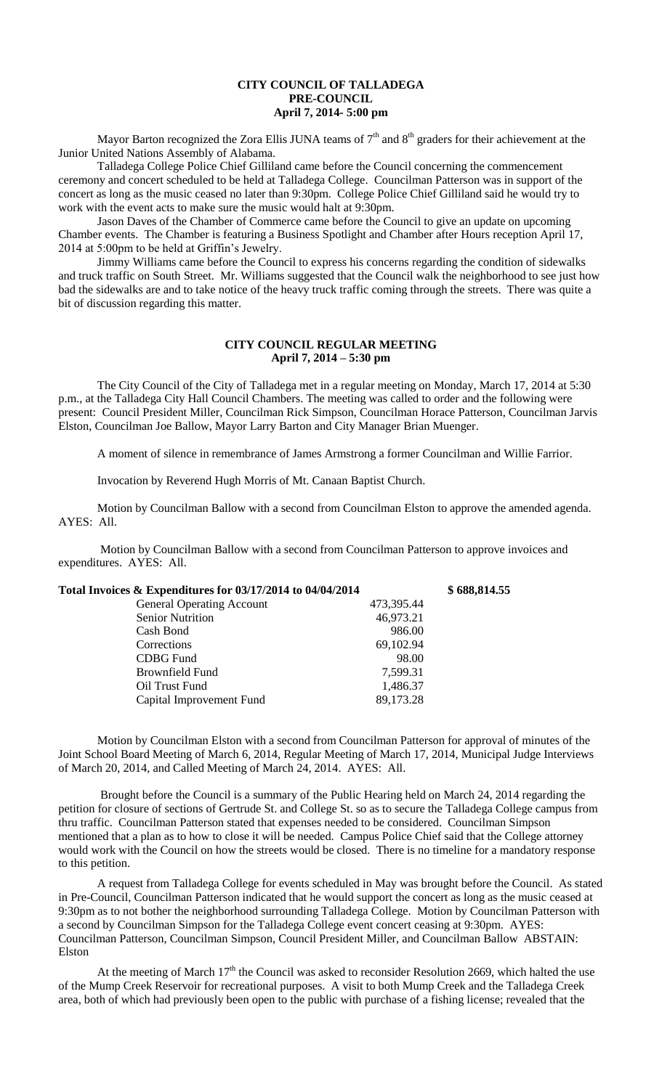# **CITY COUNCIL OF TALLADEGA PRE-COUNCIL April 7, 2014- 5:00 pm**

Mayor Barton recognized the Zora Ellis JUNA teams of  $7<sup>th</sup>$  and  $8<sup>th</sup>$  graders for their achievement at the Junior United Nations Assembly of Alabama.

Talladega College Police Chief Gilliland came before the Council concerning the commencement ceremony and concert scheduled to be held at Talladega College. Councilman Patterson was in support of the concert as long as the music ceased no later than 9:30pm. College Police Chief Gilliland said he would try to work with the event acts to make sure the music would halt at 9:30pm.

Jason Daves of the Chamber of Commerce came before the Council to give an update on upcoming Chamber events. The Chamber is featuring a Business Spotlight and Chamber after Hours reception April 17, 2014 at 5:00pm to be held at Griffin's Jewelry.

Jimmy Williams came before the Council to express his concerns regarding the condition of sidewalks and truck traffic on South Street. Mr. Williams suggested that the Council walk the neighborhood to see just how bad the sidewalks are and to take notice of the heavy truck traffic coming through the streets. There was quite a bit of discussion regarding this matter.

### **CITY COUNCIL REGULAR MEETING April 7, 2014 – 5:30 pm**

The City Council of the City of Talladega met in a regular meeting on Monday, March 17, 2014 at 5:30 p.m., at the Talladega City Hall Council Chambers. The meeting was called to order and the following were present: Council President Miller, Councilman Rick Simpson, Councilman Horace Patterson, Councilman Jarvis Elston, Councilman Joe Ballow, Mayor Larry Barton and City Manager Brian Muenger.

A moment of silence in remembrance of James Armstrong a former Councilman and Willie Farrior.

Invocation by Reverend Hugh Morris of Mt. Canaan Baptist Church.

Motion by Councilman Ballow with a second from Councilman Elston to approve the amended agenda. AYES: All.

Motion by Councilman Ballow with a second from Councilman Patterson to approve invoices and expenditures. AYES: All.

| Total Invoices & Expenditures for 03/17/2014 to 04/04/2014 |            | \$688,814.55 |
|------------------------------------------------------------|------------|--------------|
| <b>General Operating Account</b>                           | 473,395.44 |              |
| <b>Senior Nutrition</b>                                    | 46,973.21  |              |
| Cash Bond                                                  | 986.00     |              |
| Corrections                                                | 69,102.94  |              |
| CDBG Fund                                                  | 98.00      |              |
| Brownfield Fund                                            | 7,599.31   |              |
| Oil Trust Fund                                             | 1,486.37   |              |
| Capital Improvement Fund                                   | 89,173.28  |              |

Motion by Councilman Elston with a second from Councilman Patterson for approval of minutes of the Joint School Board Meeting of March 6, 2014, Regular Meeting of March 17, 2014, Municipal Judge Interviews of March 20, 2014, and Called Meeting of March 24, 2014. AYES: All.

Brought before the Council is a summary of the Public Hearing held on March 24, 2014 regarding the petition for closure of sections of Gertrude St. and College St. so as to secure the Talladega College campus from thru traffic. Councilman Patterson stated that expenses needed to be considered. Councilman Simpson mentioned that a plan as to how to close it will be needed. Campus Police Chief said that the College attorney would work with the Council on how the streets would be closed. There is no timeline for a mandatory response to this petition.

A request from Talladega College for events scheduled in May was brought before the Council. As stated in Pre-Council, Councilman Patterson indicated that he would support the concert as long as the music ceased at 9:30pm as to not bother the neighborhood surrounding Talladega College. Motion by Councilman Patterson with a second by Councilman Simpson for the Talladega College event concert ceasing at 9:30pm. AYES: Councilman Patterson, Councilman Simpson, Council President Miller, and Councilman Ballow ABSTAIN: Elston

At the meeting of March 17<sup>th</sup> the Council was asked to reconsider Resolution 2669, which halted the use of the Mump Creek Reservoir for recreational purposes. A visit to both Mump Creek and the Talladega Creek area, both of which had previously been open to the public with purchase of a fishing license; revealed that the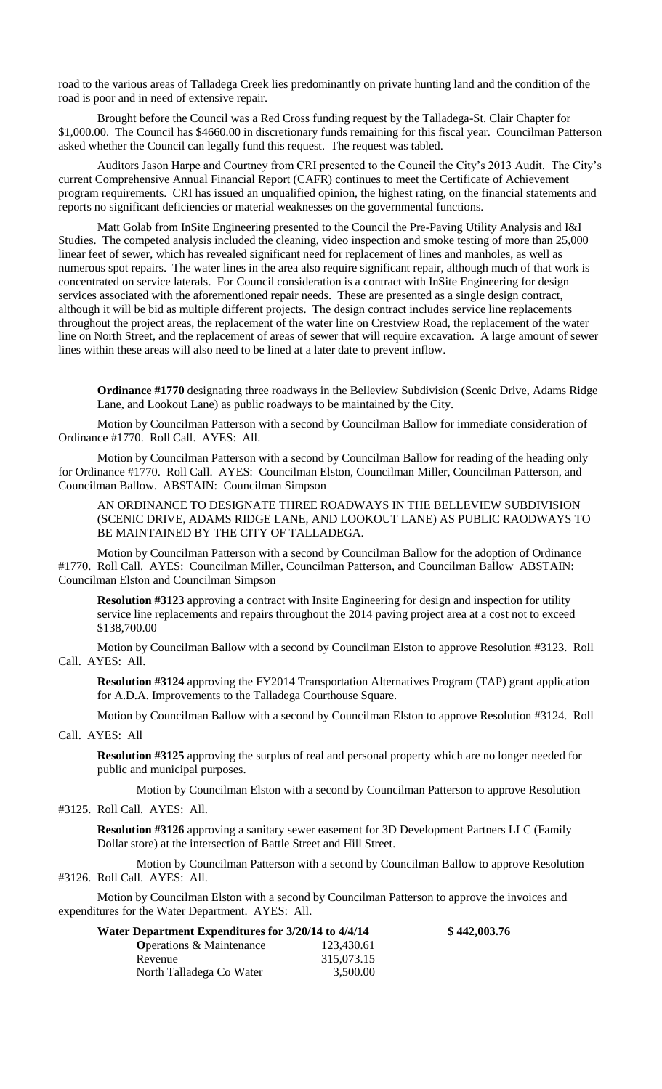road to the various areas of Talladega Creek lies predominantly on private hunting land and the condition of the road is poor and in need of extensive repair.

Brought before the Council was a Red Cross funding request by the Talladega-St. Clair Chapter for \$1,000.00. The Council has \$4660.00 in discretionary funds remaining for this fiscal year. Councilman Patterson asked whether the Council can legally fund this request. The request was tabled.

Auditors Jason Harpe and Courtney from CRI presented to the Council the City's 2013 Audit. The City's current Comprehensive Annual Financial Report (CAFR) continues to meet the Certificate of Achievement program requirements. CRI has issued an unqualified opinion, the highest rating, on the financial statements and reports no significant deficiencies or material weaknesses on the governmental functions.

Matt Golab from InSite Engineering presented to the Council the Pre-Paving Utility Analysis and I&I Studies. The competed analysis included the cleaning, video inspection and smoke testing of more than 25,000 linear feet of sewer, which has revealed significant need for replacement of lines and manholes, as well as numerous spot repairs. The water lines in the area also require significant repair, although much of that work is concentrated on service laterals. For Council consideration is a contract with InSite Engineering for design services associated with the aforementioned repair needs. These are presented as a single design contract, although it will be bid as multiple different projects. The design contract includes service line replacements throughout the project areas, the replacement of the water line on Crestview Road, the replacement of the water line on North Street, and the replacement of areas of sewer that will require excavation. A large amount of sewer lines within these areas will also need to be lined at a later date to prevent inflow.

**Ordinance #1770** designating three roadways in the Belleview Subdivision (Scenic Drive, Adams Ridge Lane, and Lookout Lane) as public roadways to be maintained by the City.

Motion by Councilman Patterson with a second by Councilman Ballow for immediate consideration of Ordinance #1770. Roll Call. AYES: All.

Motion by Councilman Patterson with a second by Councilman Ballow for reading of the heading only for Ordinance #1770. Roll Call. AYES: Councilman Elston, Councilman Miller, Councilman Patterson, and Councilman Ballow. ABSTAIN: Councilman Simpson

AN ORDINANCE TO DESIGNATE THREE ROADWAYS IN THE BELLEVIEW SUBDIVISION (SCENIC DRIVE, ADAMS RIDGE LANE, AND LOOKOUT LANE) AS PUBLIC RAODWAYS TO BE MAINTAINED BY THE CITY OF TALLADEGA.

Motion by Councilman Patterson with a second by Councilman Ballow for the adoption of Ordinance #1770. Roll Call. AYES: Councilman Miller, Councilman Patterson, and Councilman Ballow ABSTAIN: Councilman Elston and Councilman Simpson

**Resolution #3123** approving a contract with Insite Engineering for design and inspection for utility service line replacements and repairs throughout the 2014 paving project area at a cost not to exceed \$138,700.00

Motion by Councilman Ballow with a second by Councilman Elston to approve Resolution #3123. Roll Call. AYES: All.

**Resolution #3124** approving the FY2014 Transportation Alternatives Program (TAP) grant application for A.D.A. Improvements to the Talladega Courthouse Square.

Motion by Councilman Ballow with a second by Councilman Elston to approve Resolution #3124. Roll

## Call. AYES: All

**Resolution #3125** approving the surplus of real and personal property which are no longer needed for public and municipal purposes.

Motion by Councilman Elston with a second by Councilman Patterson to approve Resolution

#### #3125. Roll Call. AYES: All.

**Resolution #3126** approving a sanitary sewer easement for 3D Development Partners LLC (Family Dollar store) at the intersection of Battle Street and Hill Street.

Motion by Councilman Patterson with a second by Councilman Ballow to approve Resolution #3126. Roll Call. AYES: All.

Motion by Councilman Elston with a second by Councilman Patterson to approve the invoices and expenditures for the Water Department. AYES: All.

| Water Department Expenditures for 3/20/14 to 4/4/14 |            | \$442,003.76 |
|-----------------------------------------------------|------------|--------------|
| <b>O</b> perations & Maintenance                    | 123,430.61 |              |
| Revenue                                             | 315,073.15 |              |
| North Talladega Co Water                            | 3.500.00   |              |